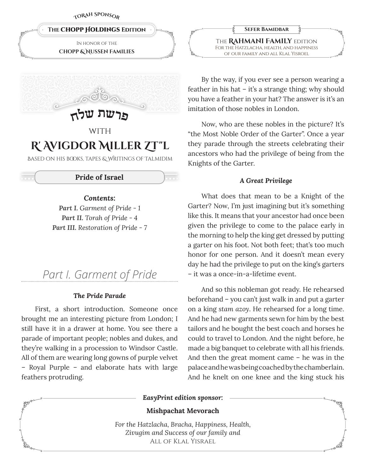**<sup>T</sup>oRa<sup>h</sup> <sup>S</sup>ponso<sup>r</sup>**





# **WITH R' Avigdor Miller Zt"l**

Based on his books, tapes & Writings of Talmidim

# **Pride of Israel**

*Contents:*

*Part I. Garment of Pride - 1 Part II. Torah of Pride - 4 Part III. Restoration of Pride - 7*

# *Part I. Garment of Pride*

#### *The Pride Parade*

First, a short introduction. Someone once brought me an interesting picture from London; I still have it in a drawer at home. You see there a parade of important people; nobles and dukes, and they're walking in a procession to Windsor Castle. All of them are wearing long gowns of purple velvet – Royal Purple – and elaborate hats with large feathers protruding.

**Sefer Bamidbar** The **Rahmani Family** edition For the Hatzlacha, health, and happiness of our family and all Klal Yisroel

By the way, if you ever see a person wearing a feather in his hat – it's a strange thing; why should you have a feather in your hat? The answer is it's an imitation of those nobles in London.

Now, who are these nobles in the picture? It's "the Most Noble Order of the Garter". Once a year they parade through the streets celebrating their ancestors who had the privilege of being from the Knights of the Garter.

# *A Great Privilege*

What does that mean to be a Knight of the Garter? Now, I'm just imagining but it's something like this. It means that your ancestor had once been given the privilege to come to the palace early in the morning to help the king get dressed by putting a garter on his foot. Not both feet; that's too much honor for one person. And it doesn't mean every day he had the privilege to put on the king's garters – it was a once-in-a-lifetime event.

And so this nobleman got ready. He rehearsed beforehand – you can't just walk in and put a garter on a king *stam azoy*. He rehearsed for a long time. And he had new garments sewn for him by the best tailors and he bought the best coach and horses he could to travel to London. And the night before, he made a big banquet to celebrate with all his friends. And then the great moment came – he was in the palace and he was being coached by the chamberlain. And he knelt on one knee and the king stuck his

*EasyPrint edition sponsor:*

# **Mishpachat Mevorach**

*For the Hatzlacha, Bracha, Happiness, Health, Zivugim and Success of our family and* All of Klal Yisrael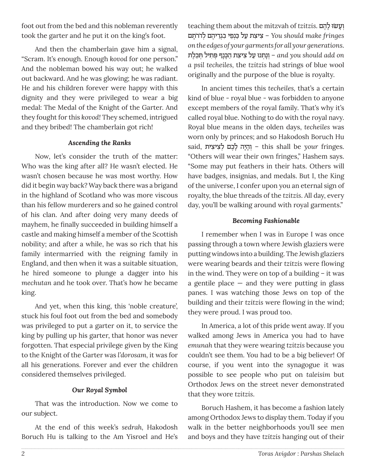foot out from the bed and this nobleman reverently took the garter and he put it on the king's foot.

And then the chamberlain gave him a signal, "Scram. It's enough. Enough *kovod* for one person." And the nobleman bowed his way out; he walked out backward. And he was glowing; he was radiant. He and his children forever were happy with this dignity and they were privileged to wear a big medal: The Medal of the Knight of the Garter. And they fought for this *kovod!* They schemed, intrigued and they bribed! The chamberlain got rich!

# *Ascending the Ranks*

Now, let's consider the truth of the matter: Who was the king after all? He wasn't elected. He wasn't chosen because he was most worthy. How did it begin way back? Way back there was a brigand in the highland of Scotland who was more viscous than his fellow murderers and so he gained control of his clan. And after doing very many deeds of mayhem, he finally succeeded in building himself a castle and making himself a member of the Scottish nobility; and after a while, he was so rich that his family intermarried with the reigning family in England, and then when it was a suitable situation, he hired someone to plunge a dagger into his *mechutan* and he took over. That's how he became king.

And yet, when this king, this 'noble creature', stuck his foul foot out from the bed and somebody was privileged to put a garter on it, to service the king by pulling up his garter, that honor was never forgotten. That especial privilege given by the King to the Knight of the Garter was *l'dorosam,* it was for all his generations. Forever and ever the children considered themselves privileged.

# *Our Royal Symbol*

That was the introduction. Now we come to our subject.

At the end of this week's *sedrah,* Hakodosh Boruch Hu is talking to the Am Yisroel and He's

teaching them about the mitzvah of *tzitzis*. **הָשׁוֹי לָהֶם** *you should make fringes – צִיצִת עַל כֵּנְפֵי בִגְרֵיהֵם לְדרֹתַם on the edges of your garments for all your generations*. ינַתְנוּ עַל צִיצָת הַכָּנָף פִּתִ*י*ל תִּכֶלֶת – and you should add on *a psil techeiles,* the *tzitzis* had strings of blue wool originally and the purpose of the blue is royalty.

In ancient times this *techeiles,* that's a certain kind of blue - royal blue - was forbidden to anyone except members of the royal family. That's why it's called royal blue. Nothing to do with the royal navy. Royal blue means in the olden days, *techeiles* was worn only by princes; and so Hakodosh Boruch Hu said, יְהֵיָה לַבֶם לִצִיצִית – this shall be your fringes. "Others will wear their own fringes," Hashem says. "Some may put feathers in their hats. Others will have badges, insignias, and medals. But I, the King of the universe, I confer upon you an eternal sign of royalty, the blue threads of the *tzitzis*. All day, every day, you'll be walking around with royal garments."

# *Becoming Fashionable*

I remember when I was in Europe I was once passing through a town where Jewish glaziers were putting windows into a building. The Jewish glaziers were wearing beards and their *tzitzis* were flowing in the wind. They were on top of a building – it was a gentile place  $-$  and they were putting in glass panes. I was watching those Jews on top of the building and their *tzitzis* were flowing in the wind; they were proud. I was proud too.

In America, a lot of this pride went away. If you walked among Jews in America you had to have *emunah* that they were wearing *tzitzis* because you couldn't see them. You had to be a big believer! Of course, if you went into the synagogue it was possible to see people who put on *taleisim* but Orthodox Jews on the street never demonstrated that they wore *tzitzis*.

Boruch Hashem, it has become a fashion lately among Orthodox Jews to display them. Today if you walk in the better neighborhoods you'll see men and boys and they have *tzitzis* hanging out of their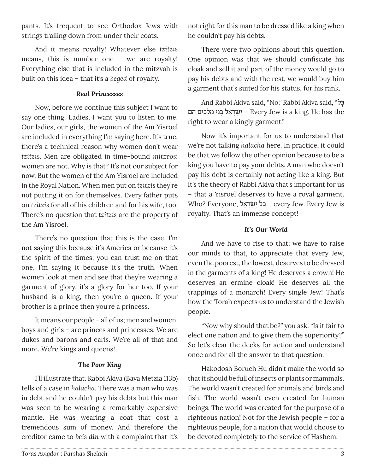pants. It's frequent to see Orthodox Jews with strings trailing down from under their coats.

And it means royalty! Whatever else *tzitzis*  means, this is number one – we are royalty! Everything else that is included in the mitzvah is built on this idea – that it's a *beged* of royalty.

#### *Real Princesses*

Now, before we continue this subject I want to say one thing. Ladies, I want you to listen to me. Our ladies, our girls, the women of the Am Yisroel are included in everything I'm saying here. It's true, there's a technical reason why women don't wear *tzitzis*. Men are obligated in time-bound *mitzvos*; women are not. Why is that? It's not our subject for now. But the women of the Am Yisroel are included in the Royal Nation. When men put on *tzitzis* they're not putting it on for themselves. Every father puts on *tzitzis* for all of his children and for his wife, too. There's no question that *tzitzis* are the property of the Am Yisroel.

There's no question that this is the case. I'm not saying this because it's America or because it's the spirit of the times; you can trust me on that one, I'm saying it because it's the truth. When women look at men and see that they're wearing a garment of glory, it's a glory for her too. If your husband is a king, then you're a queen. If your brother is a prince then you're a princess.

It means our people – all of us; men and women, boys and girls – are princes and princesses. We are dukes and barons and earls. We're all of that and more. We're kings and queens!

#### *The Poor King*

I'll illustrate that. Rabbi Akiva (Bava Metzia 113b) tells of a case in *halacha*. There was a man who was in debt and he couldn't pay his debts but this man was seen to be wearing a remarkably expensive mantle. He was wearing a coat that cost a tremendous sum of money. And therefore the creditor came to *beis din* with a complaint that it's

not right for this man to be dressed like a king when he couldn't pay his debts.

There were two opinions about this question. One opinion was that we should confiscate his cloak and sell it and part of the money would go to pay his debts and with the rest, we would buy him a garment that's suited for his status, for his rank.

And Rabbi Akiva said, "No." Rabbi Akiva said, "כלָּ הם ≈כיםƒ לָמ ¿ני≈בּ ¿ל≈‡רָ˘ׂ ¿ יƒ – Every Jew is a king. He has the right to wear a kingly garment."

Now it's important for us to understand that we're not talking *halacha* here. In practice, it could be that we follow the other opinion because to be a king you have to pay your debts. A man who doesn't pay his debt is certainly not acting like a king. But it's the theory of Rabbi Akiva that's important for us – that a Yisroel deserves to have a royal garment. Who? Everyone, בֵּל יִשְׂרָאל – every Jew. Every Jew is royalty. That's an immense concept!

# *It's Our World*

And we have to rise to that; we have to raise our minds to that, to appreciate that every Jew, even the poorest, the lowest, deserves to be dressed in the garments of a king! He deserves a crown! He deserves an ermine cloak! He deserves all the trappings of a monarch! Every single Jew! That's how the Torah expects us to understand the Jewish people.

"Now why should that be?" you ask. "Is it fair to elect one nation and to give them the superiority?" So let's clear the decks for action and understand once and for all the answer to that question.

Hakodosh Boruch Hu didn't make the world so that it should be full of insects or plants or mammals. The world wasn't created for animals and birds and fish. The world wasn't even created for human beings. The world was created for the purpose of a righteous nation! Not for the Jewish people – for a righteous people, for a nation that would choose to be devoted completely to the service of Hashem.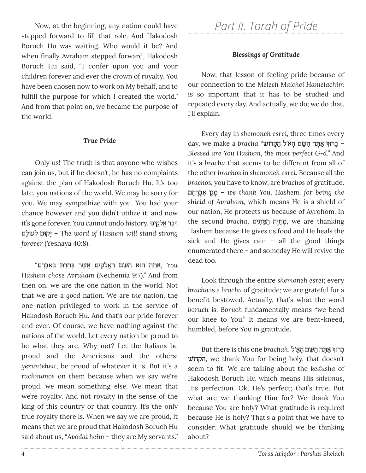Now, at the beginning, any nation could have stepped forward to fill that role. And Hakodosh Boruch Hu was waiting. Who would it be? And when finally Avraham stepped forward, Hakodosh Boruch Hu said, "I confer upon you and your children forever and ever the crown of royalty. You have been chosen now to work on My behalf, and to fulfill the purpose for which I created the world." And from that point on, we became the purpose of the world.

#### *True Pride*

Only us! The truth is that anyone who wishes can join us, but if he doesn't, he has no complaints against the plan of Hakodosh Boruch Hu. It's too late, you nations of the world. We may be sorry for you. We may sympathize with you. You had your chance however and you didn't utilize it, and now it's gone forever. You cannot undo history. דְּבַר אַלֹקִינו לםָעוֹ ל ¿וםּ˜יָ – *The word of Hashem will stand strong forever* (Yeshaya 40:8).

 *You* ַ, ‡ָּ˙ה ּהו‡ ַה ּׁ≈˘ם ָה¡‡לֹ ƒ˜ים ֲ ‡ ׁ∆˘ר ָּבַח¿ר ָּ˙ ¿ּבַ‡ ¿בָרם" *Hashem chose Avraham* (Nechemia 9:7)." And from then on, we are the one nation in the world. Not that we are a *good* nation. We are *the* nation, the one nation privileged to work in the service of Hakodosh Boruch Hu. And that's our pride forever and ever. Of course, we have nothing against the nations of the world. Let every nation be proud to be what they are. Why not? Let the Italians be proud and the Americans and the others; *gezunteheit*, be proud of whatever it is. But it's a *rachmonos* on them because when we say we're proud, we mean something else. We mean that we're royalty. And not royalty in the sense of the king of this country or that country. It's the only true royalty there is. When we say we are proud, it means that we are proud that Hakodosh Boruch Hu said about us, "*Avodai heim* – they are My servants."

# *Part II. Torah of Pride*

#### *Blessings of Gratitude*

Now, that lesson of feeling pride because of our connection to the *Melech Malchei Hamelachim* is so important that it has to be studied and repeated every day. And actually, we do; we do that. I'll explain.

Every day in *shemoneh esrei,* three times every ¿ $\,$  day, we make a  $\,$ eracha "הָקרוֹשׁ ל הַקָּרוֹשׁ — *Blessed are You Hashem, the most perfect G-d*." And it's a *bracha* that seems to be different from all of the other *brachos* in *shemoneh esrei*. Because all the *brachos,* you have to know, are *brachos* of gratitude. הםָרָב ‡ ¿ַ ן≈'מָ *– we thank You, Hashem, for being the shield of Avraham,* which means He is a shield of our nation, He protects us because of Avrohom. In ּיה ַה ּ≈מ ƒ˙ים ,*bracha* second the ∆חַמ ¿, we are thanking Hashem because He gives us food and He heals the sick and He gives rain – all the good things enumerated there – and someday He will revive the dead too.

Look through the entire *shemoneh esrei;* every *bracha* is a *bracha* of gratitude; we are grateful for a benefit bestowed. Actually, that's what the word *boruch* is. *Boruch* fundamentally means "we bend our knee to You." It means we are bent-kneed, humbled, before You in gratitude.

 ${\rm But}$  there is this one  $brachah,$  בְּרוּךְ אַתְּה הַשֵּׁם הָאֵ׳ל ˘ׁ וֹ˜"ָּהַ, we thank You for being holy, that doesn't seem to fit. We are talking about the *kedusha* of Hakodosh Boruch Hu which means His *shleimus*, His perfection. Ok, He's perfect; that's true. But what are we thanking Him for? We thank You because You are holy? What gratitude is required because He is holy? That's a point that we have to consider. What gratitude should we be thinking about?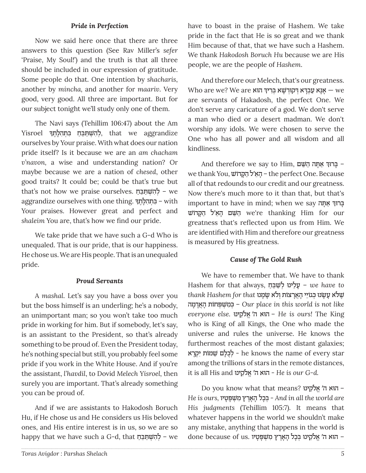# *Pride in Perfection*

Now we said here once that there are three answers to this question (See Rav Miller's *sefer*  'Praise, My Soul!') and the truth is that all three should be included in our expression of gratitude. Some people do that. One intention by *shacharis*, another by *mincha,* and another for *maariv*. Very good, very good. All three are important. But for our subject tonight we'll study only one of them.

The Navi says (Tehillim 106:47) about the Am Yisroel לְהִשְׁתַּבֵּח בִּתְהִלְתֶךּ, that we aggrandize ourselves by Your praise. With what does our nation pride itself? Is it because we are an *am chacham v'navon,* a wise and understanding nation? Or maybe because we are a nation of *chesed*, other good traits? It could be; could be that's true but that's not how we praise ourselves. להשתבח aggrandize ourselves with one thing. בִּתְהִלְתֶךָ – with Your praises. However great and perfect and *shaleim* You are, that's how we find our pride.

We take pride that we have such a G-d Who is unequaled. That is our pride, that is our happiness. He chose us. We are His people. That is an unequaled pride.

#### *Proud Servants*

A *mashal*. Let's say you have a boss over you but the boss himself is an underling; he's a nobody, an unimportant man; so you won't take too much pride in working for him. But if somebody, let's say, is an assistant to the President, so that's already something to be proud of. Even the President today, he's nothing special but still, you probably feel some pride if you work in the White House. And if you're the assistant, *l'havdil*, to Dovid *Melech Yisroel,* then surely you are important. That's already something you can be proud of.

And if we are assistants to Hakodosh Boruch Hu, if He chose us and He considers us His beloved ones, and His entire interest is in us, so we are so happy that we have such a G-d, that להִשְׁתַּבֵּהַ – we

have to boast in the praise of Hashem. We take pride in the fact that He is so great and we thank Him because of that, that we have such a Hashem. We thank *Hakodosh Boruch Hu* because we are His people, we are the people of *Hashem*.

And therefore our Melech, that's our greatness. Who are we? We are אֲנָא בְּרִיךְ שָׁא בְּרִיךָ  $\frac{1}{2}$ אָנָא שַבְרָיא בְּר are servants of Hakadosh, the perfect One. We don't serve any caricature of a god. We don't serve a man who died or a desert madman. We don't worship any idols. We were chosen to serve the One who has all power and all wisdom and all kindliness.

ן בְּרוּךְ אַתְּה הַשֵּׁם And therefore we say to Him, בְּרוּךְ אַתְּה we thank You, ˘ׁ וֹ˜"ָּהַ ל≈‡'הָ – the perfect One. Because all of that redounds to our credit and our greatness. Now there's much more to it than that, but that's important to have in mind; when we say בְּרוּךְ אַתְה הַטְּעִם הָאֵֽ'ל הַקָּרוֹשׁ we're thanking Him for our greatness that's reflected upon us from Him. We are identified with Him and therefore our greatness is measured by His greatness.

#### *Cause of The Gold Rush*

We have to remember that. We have to thank Hashem for that always, שַׁבֵּחַ *– we have to* ׁ∆˘ ּלֹ‡ ָע ָ ׂ˘ ּנו ¿ּכ'ֹו≈יי ָהֲ‡ָרˆֹו˙ ¿ולֹ‡ ָ ׂ˘ָמ ּנו *that for Hashem thank* מהָ"ָ‡ֲהָ˙ חוֹ פ¿ּ¿˘ׁ מƒ כּ – ¿*Our place in this world is not like everyone else.* ינו ּ≈˜ ֹל ¡ ' ‡ה‡ הוּ – *He is ours!* The King who is King of all Kings, the One who made the universe and rules the universe. He knows the furthermost reaches of the most distant galaxies; ‡רָ ¿˜יƒ ˙מוֹ≈˘ ׁ לםָּ כֻל ¿- he knows the name of every star among the trillions of stars in the remote distances, it is all His and ינו ּ≈˜ ֹל ¡ ' ‡ה‡ הוּ - *He is our G-d.*

Do you know what that means? אלֹקֵינו -*He is ours,* טיוָפָּ¿˘ׁ מƒ ıר‡∆ָהָ כלָבּ ¿- *And in all the world are His judgments* (Tehillim 105:7). It means that whatever happens in the world we shouldn't make any mistake, anything that happens in the world is – ּהו‡ ה ¡ ' ‡לֹ≈˜ ּ ינו ¿ּבָכל ָהָ‡∆רı ƒמ ׁ¿˘ָּפָטיו .us of because done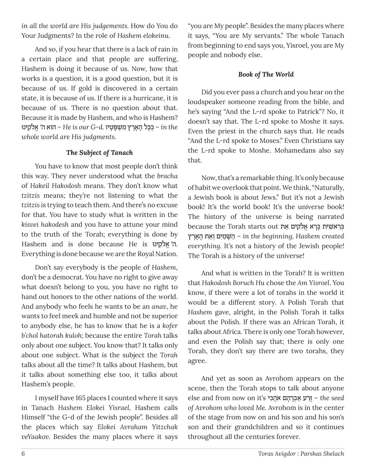*in all the world are His judgements.* How do You do Your Judgments? In the role of *Hashem elokeinu*.

And so, if you hear that there is a lack of rain in a certain place and that people are suffering, Hashem is doing it because of us. Now, how that works is a question, it is a good question, but it is because of us. If gold is discovered in a certain state, it is because of us. If there is a hurricane, it is because of us. There is no question about that. Because it is made by Hashem, and who is Hashem? ינגַלֹּהֵל**ּט – He is our G-d. בְּבָל הָאֲרֶץ מְשִׁפָּטַיו** – *in the whole world are His judgments.*

# *The Subject of Tanach*

You have to know that most people don't think this way. They never understood what the *bracha*  of *Hakeil Hakodosh* means. They don't know what *tzitzis* means; they're not listening to what the *tzitzis* is trying to teach them. And there's no excuse for that. You have to study what is written in the *kisvei hakodesh* and you have to attune your mind to the truth of the Torah; everything is done by Hashem and is done because He is יה' אֱלֹקֵינוּ. Everything is done because we are the Royal Nation.

Don't say everybody is the people of *Hashem*, don't be a democrat. You have no right to give away what doesn't belong to you, you have no right to hand out honors to the other nations of the world. And anybody who feels he wants to be an *anav*, he wants to feel meek and humble and not be superior to anybody else, he has to know that he is a *kofer b'chol hatorah kuloh*; because the entire *Torah* talks only about one subject. You know that? It talks only about one subject. What is the subject the *Torah* talks about all the time? It talks about Hashem, but it talks about something else too, it talks about Hashem's people.

I myself have 165 places I counted where it says in Tanach *Hashem Elokei Yisrael,* Hashem calls Himself "the G-d of the Jewish people". Besides all the places which say *Elokei Avraham Yitzchak veYaakov.* Besides the many places where it says "you are My people". Besides the many places where it says, "You are My servants." The whole Tanach from beginning to end says you, Yisroel, you are My people and nobody else.

# *Book of The World*

Did you ever pass a church and you hear on the loudspeaker someone reading from the bible, and he's saying "And the L-rd spoke to Patrick"? No, it doesn't say that. The L-rd spoke to Moshe it says. Even the priest in the church says that. He reads "And the L-rd spoke to Moses." Even Christians say the L-rd spoke to Moshe. Mohamedans also say that.

Now, that's a remarkable thing. It's only because of habit we overlook that point. We think, "Naturally, a Jewish book is about Jews." But it's not a Jewish book! It's the world book! It's the universe book! The history of the universe is being narrated  $\frac{1}{2}$ בּרֵאשִׁית בַּרַא אֱלֹקִים אֵת מע ıר‡∆ָהָ≈‡˙ ו ¿יםƒמַ˘ָּׁ הַ– *in the beginning, Hashem created everything.* It's not a history of the Jewish people! The Torah is a history of the universe!

And what is written in the Torah? It is written that *Hakodosh Boruch Hu* chose the *Am Yisroel*. You know, if there were a lot of torahs in the world it would be a different story. A Polish Torah that *Hashem* gave, alright, in the Polish Torah it talks about the Polish. If there was an African Torah, it talks about Africa. There is only one Torah however, and even the Polish say that; there is only one Torah, they don't say there are two torahs, they agree.

And yet as soon as Avrohom appears on the scene, then the Torah stops to talk about anyone else and from now on it's ביƒ הֲ ‡ֹ הםָרָב ‡ ¿ַ רעַז – ∆*the seed of Avrohom who loved Me.* Avrohom is in the center of the stage from now on and his son and his son's son and their grandchildren and so it continues throughout all the centuries forever.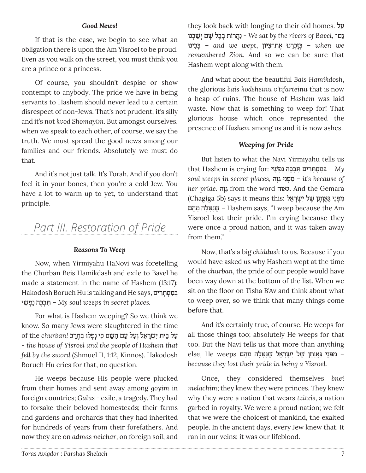#### *Good News!*

If that is the case, we begin to see what an obligation there is upon the Am Yisroel to be proud. Even as you walk on the street, you must think you are a prince or a princess.

Of course, you shouldn't despise or show contempt to anybody. The pride we have in being servants to Hashem should never lead to a certain disrespect of non-Jews. That's not prudent; it's silly and it's not *kvod Shomayim*. But amongst ourselves, when we speak to each other, of course, we say the truth. We must spread the good news among our families and our friends. Absolutely we must do that.

And it's not just talk. It's Torah. And if you don't feel it in your bones, then you're a cold Jew. You have a lot to warm up to yet, to understand that principle.

# *Part III. Restoration of Pride*

#### *Reasons To Weep*

Now, when Yirmiyahu HaNovi was foretelling the Churban Beis Hamikdash and exile to Bavel he made a statement in the name of Hashem (13:17): Hakodosh Boruch Hu is talking and He says, במסתרים י˘ƒׁ פ ¿נַ כהּ∆ב˙ ¿ƒּ – *My soul weeps in secret places.* 

For what is Hashem weeping? So we think we know. So many Jews were slaughtered in the time ַעל ≈ּבי˙ ƒי ¿ ׂ˘ָר≈‡ל ¿וַעל ַעם ַה ּׁ≈˘ם ƒּכי ָנ ¿פ ּלו ¿ּב∆ח∆רב *!churban* the of - *the house of Yisroel and the people of Hashem that fell by the sword* (Shmuel II, 1:12, Kinnos)*.* Hakodosh Boruch Hu cries for that, no question.

He weeps because His people were plucked from their homes and sent away among *goyim* in foreign countries; *Galus* - exile, a tragedy. They had to forsake their beloved homesteads; their farms and gardens and orchards that they had inherited for hundreds of years from their forefathers. And now they are on *admas neichar*, on foreign soil, and they look back with longing to their old homes. עלַ ַּ'םŒ ,*Bavel of rivers the by sat We* - ַנֲה ֹרו˙ ָּב∆בל ָׁ˘ם ָי ַׁ˘ ¿ב ּנו <u> ב</u>ּבִינוּ – and we wept, בְזַבְרנוּ אַת־צַיּוֹן – when we *remembered Zion*. And so we can be sure that Hashem wept along with them.

And what about the beautiful *Bais Hamikdosh*, the glorious *bais kodsheinu v'tifarteinu* that is now a heap of ruins. The house of *Hashem* was laid waste. Now that is something to weep for! That glorious house which once represented the presence of *Hashem* among us and it is now ashes.

#### *Weeping for Pride*

But listen to what the Navi Yirmiyahu tells us that Hashem is crying for: י˘ƒׁ פ ¿נַ כהּ∆ב˙ ¿ƒּ ריםƒ˙ָּ ס ¿מƒ בּ – ¿*My soul weeps in secret places,* והָ ≈ 'ני≈פ¿ּמƒ – *it's because of*  her pride. גאוה from the word גאוה. And the Gemara מִפְּנֵי גַאֲוֹתַן שׁל יִשְׂרָאֵל :Chagiga 5b) says it means this הם∆מ ≈להָט¿ּ נּƒ˘∆ׁ – Hashem says, "I weep because the Am Yisroel lost their pride. I'm crying because they were once a proud nation, and it was taken away from them."

Now, that's a big *chiddush* to us. Because if you would have asked us why Hashem wept at the time of the *churban*, the pride of our people would have been way down at the bottom of the list. When we sit on the floor on Tisha B'Av and think about what to weep over, so we think that many things come before that.

And it's certainly true, of course, He weeps for all those things too; absolutely He weeps for that too. But the Navi tells us that more than anything – ƒמּ¿פ≈ני ַּ 'ֲ‡ָוָ˙ן ׁ∆˘ל ƒי ¿ ׂ˘ָר≈‡ל ׁ∆˘ƒּנ ּ¿טָלה ≈מ∆הם weeps He ,else *because they lost their pride in being a Yisroel.*

Once, they considered themselves *bnei melachim*; they knew they were princes. They knew why they were a nation that wears *tzitzis*, a nation garbed in royalty. We were a proud nation; we felt that we were the choicest of mankind, the exalted people. In the ancient days, every Jew knew that. It ran in our veins; it was our lifeblood.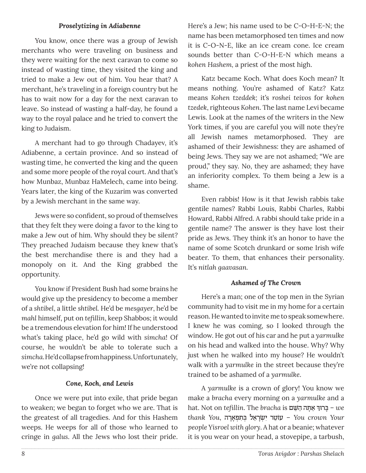#### *Proselytizing in Adiabenne*

You know, once there was a group of Jewish merchants who were traveling on business and they were waiting for the next caravan to come so instead of wasting time, they visited the king and tried to make a Jew out of him. You hear that? A merchant, he's traveling in a foreign country but he has to wait now for a day for the next caravan to leave. So instead of wasting a half-day, he found a way to the royal palace and he tried to convert the king to Judaism.

A merchant had to go through Chadayev, it's Adiabenne, a certain province. And so instead of wasting time, he converted the king and the queen and some more people of the royal court. And that's how Munbaz, Munbaz HaMelech, came into being. Years later, the king of the Kuzarim was converted by a Jewish merchant in the same way.

Jews were so confident, so proud of themselves that they felt they were doing a favor to the king to make a Jew out of him. Why should they be silent? They preached Judaism because they knew that's the best merchandise there is and they had a monopoly on it. And the King grabbed the opportunity.

You know if President Bush had some brains he would give up the presidency to become a member of a *shtibel*, a little *shtibel.* He'd be *mesgayer*, he'd be *mahl* himself, put on *tefillin*, keep Shabbos; it would be a tremendous elevation for him! If he understood what's taking place, he'd go wild with *simcha*! Of course, he wouldn't be able to tolerate such a *simcha*. He'd collapse from happiness. Unfortunately, we're not collapsing!

#### *Cone, Koch, and Lewis*

Once we were put into exile, that pride began to weaken; we began to forget who we are. That is the greatest of all tragedies. And for this Hashem weeps. He weeps for all of those who learned to cringe in *galus*. All the Jews who lost their pride.

Here's a Jew; his name used to be C-O-H-E-N; the name has been metamorphosed ten times and now it is C-O-N-E, like an ice cream cone. Ice cream sounds better than C-O-H-E-N which means a *kohen Hashem,* a priest of the most high.

Katz became Koch. What does Koch mean? It means nothing. You're ashamed of Katz? Katz means *Kohen tzeddek;* it's *roshei teivos* for *kohen tzedek*, righteous *Kohen*. The last name Levi became Lewis. Look at the names of the writers in the New York times, if you are careful you will note they're all Jewish names metamorphosed. They are ashamed of their Jewishness: they are ashamed of being Jews. They say we are not ashamed; "We are proud," they say. No, they are ashamed; they have an inferiority complex. To them being a Jew is a shame.

Even rabbis! How is it that Jewish rabbis take gentile names? Rabbi Louis, Rabbi Charles, Rabbi Howard, Rabbi Alfred. A rabbi should take pride in a gentile name? The answer is they have lost their pride as Jews. They think it's an honor to have the name of some Scotch drunkard or some Irish wife beater. To them, that enhances their personality. It's *nitlah gaavasan.*

#### *Ashamed of The Crown*

Here's a man; one of the top men in the Syrian community had to visit me in my home for a certain reason. He wanted to invite me to speak somewhere. I knew he was coming, so I looked through the window. He got out of his car and he put a *yarmulke* on his head and walked into the house. Why? Why just when he walked into my house? He wouldn't walk with a *yarmulke* in the street because they're trained to be ashamed of a *yarmulke*.

A *yarmulke* is a crown of glory! You know we make a *bracha* every morning on a *yarmulke* and a hat. Not on *tefillin.* The *bracha is בְּרוּךְּ אַתְּה הַשֵּׁם – we Your crown You* – ֹעו≈טר ƒי ¿ ׂ˘ָר≈‡ל ¿ּב ƒ¿ ˙פָ‡ָרה ,*You thank people Yisroel with glory*. A hat or a beanie; whatever it is you wear on your head, a stovepipe, a tarbush,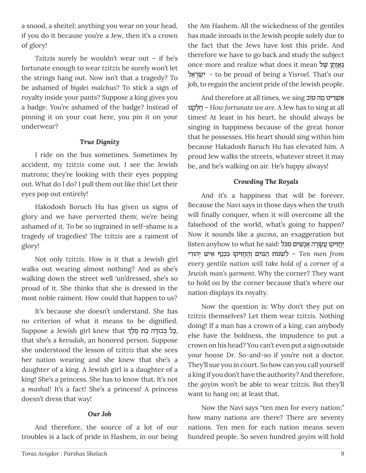a snood, a sheitel; anything you wear on your head, if you do it because you're a Jew, then it's a crown of glory!

Tzitzis surely he wouldn't wear out – if he's fortunate enough to wear *tzitzis* he surely won't let the strings hang out. Now isn't that a tragedy? To be ashamed of *bigdei malchus*? To stick a sign of royalty inside your pants? Suppose a king gives you a badge. You're ashamed of the badge? Instead of pinning it on your coat here, you pin it on your underwear?

#### *True Dignity*

I ride on the bus sometimes. Sometimes by accident, my *tzitzis* come out. I see the Jewish matrons; they're looking with their eyes popping out. What do I do? I pull them out like this! Let their eyes pop out entirely!

Hakodosh Boruch Hu has given us signs of glory and we have perverted them; we're being ashamed of it. To be so ingrained in self-shame is a tragedy of tragedies! The *tzitzis* are a raiment of glory!

Not only *tzitzis*. How is it that a Jewish girl walks out wearing almost nothing? And as she's walking down the street well 'un'dressed, she's so proud of it. She thinks that she is dressed in the most noble raiment. How could that happen to us?

It's because she doesn't understand. She has no criterion of what it means to be dignified. Suppose a Jewish girl knew that ֶכֶּל בְּבוּדְה בַת מֶלֶךְ, that she's a *kevudah*, an honored person. Suppose she understood the lesson of *tzitzis* that she sees her nation wearing and she knew that she's a daughter of a king. A Jewish girl is a daughter of a king! She's a princess. She has to know that. It's not a *mashal!* It's a fact! She's a princess! A princess doesn't dress that way!

# *Our Job*

And therefore, the source of a lot of our troubles is a lack of pride in Hashem, in our being the Am Hashem. All the wickedness of the gentiles has made inroads in the Jewish people solely due to the fact that the Jews have lost this pride. And therefore we have to go back and study the subject once more and realize what does it mean גַאֲוֹתַן שׁל ל≈‡רָ˘ׂ ¿ יƒ - to be proud of being a *Yisroel*. That's our job, to regain the ancient pride of the Jewish people.

And therefore at all times, we sing אַשְׁרֵינוּ מַה טוֹב נוּ≈˜ ל ¿ח – ∆*How fortunate we are.* A Jew has to sing at all times! At least in his heart, he should always be singing in happiness because of the great honor that he possesses. His heart should sing within him because Hakadosh Baruch Hu has elevated him. A proud Jew walks the streets, whatever street it may be, and he's walking on air. He's happy always!

# *Crowding The Royals*

And it's a happiness that will be forever. Because the *Navi* says in those days when the truth will finally conquer, when it will overcome all the falsehood of the world, what's going to happen? Now it sounds like a *guzma*, an exaggeration but listen anyhow to what he said: יַחֲזִיקוּ עֲשַׂרַה אֲנַשִׁים מִכּל *ל from ל־דיִ יהוֹרִי יִהוּדִי בִּכְנַף אִישׁ יְהוּדִי – Ten men from every gentile nation will take hold of a corner of a Jewish man's garment.* Why the corner? They want to hold on by the corner because that's where our nation displays its royalty.

Now the question is: Why don't they put on *tzitzis* themselves? Let them wear *tzitzis*. Nothing doing! If a man has a crown of a king, can anybody else have the boldness, the impudence to put a crown on his head? You can't even put a sign outside your house Dr. So-and-so if you're not a doctor. They'll sue you in court. So how can you call yourself a king if you don't have the authority? And therefore, the *goyim* won't be able to wear *tzitzis*. But they'll want to hang on; at least that.

Now the Navi says "ten men for every nation;" how many nations are there? There are seventy nations. Ten men for each nation means seven hundred people. So seven hundred *goyim* will hold